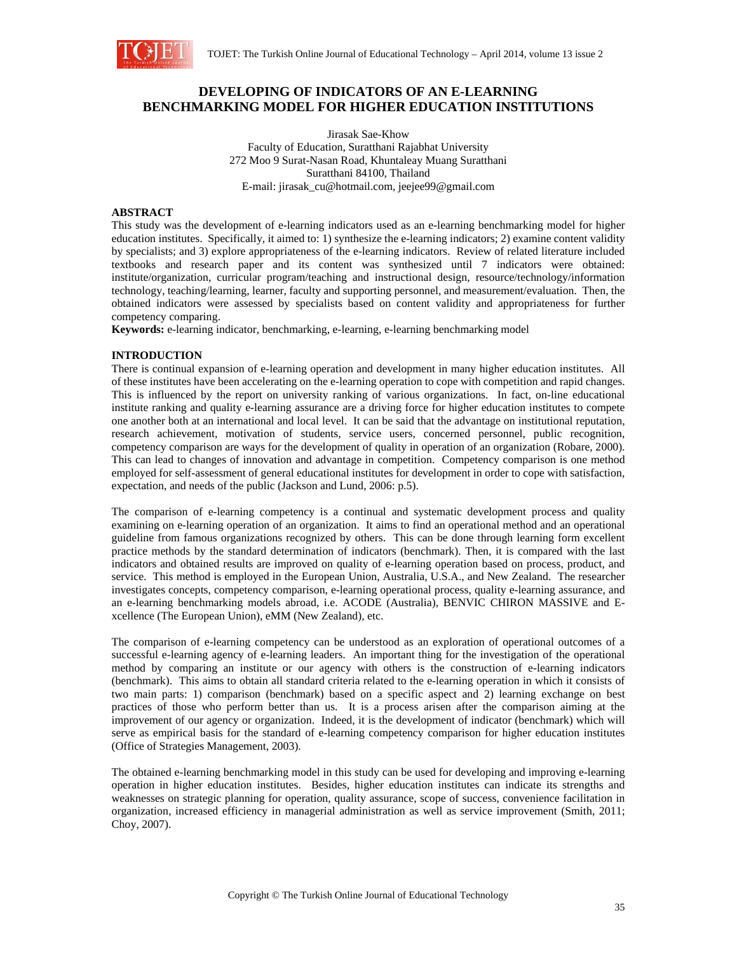

# **DEVELOPING OF INDICATORS OF AN E-LEARNING BENCHMARKING MODEL FOR HIGHER EDUCATION INSTITUTIONS**

Jirasak Sae-Khow Faculty of Education, Suratthani Rajabhat University 272 Moo 9 Surat-Nasan Road, Khuntaleay Muang Suratthani Suratthani 84100, Thailand E-mail: jirasak\_cu@hotmail.com, jeejee99@gmail.com

#### **ABSTRACT**

This study was the development of e-learning indicators used as an e-learning benchmarking model for higher education institutes. Specifically, it aimed to: 1) synthesize the e-learning indicators; 2) examine content validity by specialists; and 3) explore appropriateness of the e-learning indicators. Review of related literature included textbooks and research paper and its content was synthesized until 7 indicators were obtained: institute/organization, curricular program/teaching and instructional design, resource/technology/information technology, teaching/learning, learner, faculty and supporting personnel, and measurement/evaluation. Then, the obtained indicators were assessed by specialists based on content validity and appropriateness for further competency comparing.

**Keywords:** e-learning indicator, benchmarking, e-learning, e-learning benchmarking model

#### **INTRODUCTION**

There is continual expansion of e-learning operation and development in many higher education institutes. All of these institutes have been accelerating on the e-learning operation to cope with competition and rapid changes. This is influenced by the report on university ranking of various organizations. In fact, on-line educational institute ranking and quality e-learning assurance are a driving force for higher education institutes to compete one another both at an international and local level. It can be said that the advantage on institutional reputation, research achievement, motivation of students, service users, concerned personnel, public recognition, competency comparison are ways for the development of quality in operation of an organization (Robare, 2000). This can lead to changes of innovation and advantage in competition. Competency comparison is one method employed for self-assessment of general educational institutes for development in order to cope with satisfaction, expectation, and needs of the public (Jackson and Lund, 2006: p.5).

The comparison of e-learning competency is a continual and systematic development process and quality examining on e-learning operation of an organization. It aims to find an operational method and an operational guideline from famous organizations recognized by others. This can be done through learning form excellent practice methods by the standard determination of indicators (benchmark). Then, it is compared with the last indicators and obtained results are improved on quality of e-learning operation based on process, product, and service. This method is employed in the European Union, Australia, U.S.A., and New Zealand. The researcher investigates concepts, competency comparison, e-learning operational process, quality e-learning assurance, and an e-learning benchmarking models abroad, i.e. ACODE (Australia), BENVIC CHIRON MASSIVE and Excellence (The European Union), eMM (New Zealand), etc.

The comparison of e-learning competency can be understood as an exploration of operational outcomes of a successful e-learning agency of e-learning leaders. An important thing for the investigation of the operational method by comparing an institute or our agency with others is the construction of e-learning indicators (benchmark). This aims to obtain all standard criteria related to the e-learning operation in which it consists of two main parts: 1) comparison (benchmark) based on a specific aspect and 2) learning exchange on best practices of those who perform better than us. It is a process arisen after the comparison aiming at the improvement of our agency or organization. Indeed, it is the development of indicator (benchmark) which will serve as empirical basis for the standard of e-learning competency comparison for higher education institutes (Office of Strategies Management, 2003).

The obtained e-learning benchmarking model in this study can be used for developing and improving e-learning operation in higher education institutes. Besides, higher education institutes can indicate its strengths and weaknesses on strategic planning for operation, quality assurance, scope of success, convenience facilitation in organization, increased efficiency in managerial administration as well as service improvement (Smith, 2011; Choy, 2007).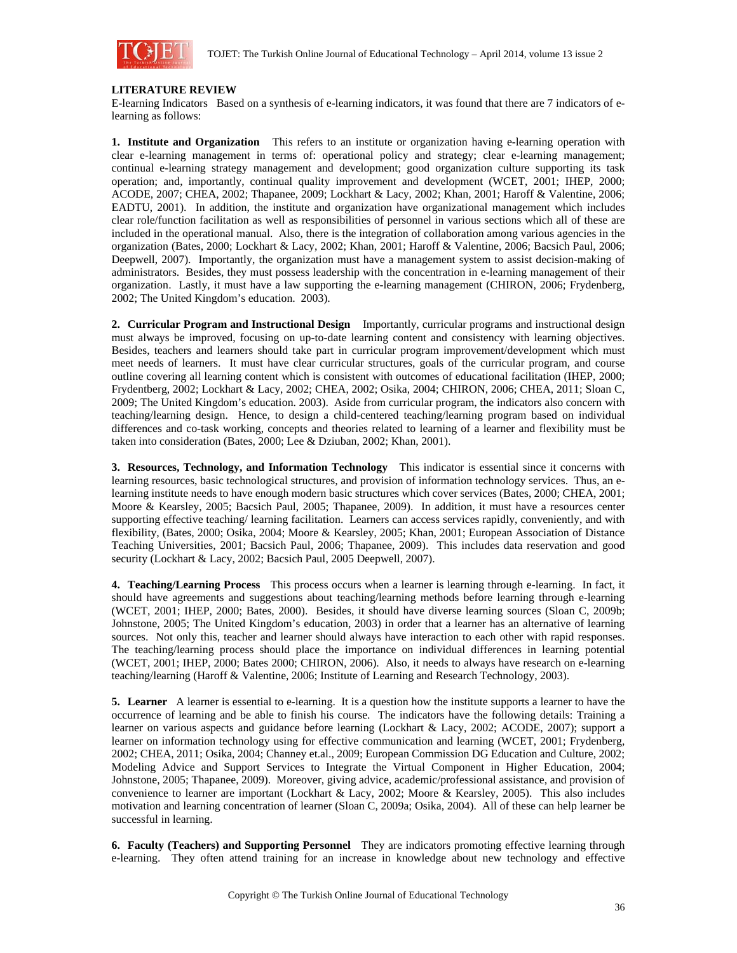

### **LITERATURE REVIEW**

E-learning Indicators Based on a synthesis of e-learning indicators, it was found that there are 7 indicators of elearning as follows:

**1. Institute and Organization** This refers to an institute or organization having e-learning operation with clear e-learning management in terms of: operational policy and strategy; clear e-learning management; continual e-learning strategy management and development; good organization culture supporting its task operation; and, importantly, continual quality improvement and development (WCET, 2001; IHEP, 2000; ACODE, 2007; CHEA, 2002; Thapanee, 2009; Lockhart & Lacy, 2002; Khan, 2001; Haroff & Valentine, 2006; EADTU, 2001). In addition, the institute and organization have organizational management which includes clear role/function facilitation as well as responsibilities of personnel in various sections which all of these are included in the operational manual. Also, there is the integration of collaboration among various agencies in the organization (Bates, 2000; Lockhart & Lacy, 2002; Khan, 2001; Haroff & Valentine, 2006; Bacsich Paul, 2006; Deepwell, 2007). Importantly, the organization must have a management system to assist decision-making of administrators. Besides, they must possess leadership with the concentration in e-learning management of their organization. Lastly, it must have a law supporting the e-learning management (CHIRON, 2006; Frydenberg, 2002; The United Kingdom's education. 2003).

**2. Curricular Program and Instructional Design** Importantly, curricular programs and instructional design must always be improved, focusing on up-to-date learning content and consistency with learning objectives. Besides, teachers and learners should take part in curricular program improvement/development which must meet needs of learners. It must have clear curricular structures, goals of the curricular program, and course outline covering all learning content which is consistent with outcomes of educational facilitation (IHEP, 2000; Frydentberg, 2002; Lockhart & Lacy, 2002; CHEA, 2002; Osika, 2004; CHIRON, 2006; CHEA, 2011; Sloan C, 2009; The United Kingdom's education. 2003). Aside from curricular program, the indicators also concern with teaching/learning design. Hence, to design a child-centered teaching/learning program based on individual differences and co-task working, concepts and theories related to learning of a learner and flexibility must be taken into consideration (Bates, 2000; Lee & Dziuban, 2002; Khan, 2001).

**3. Resources, Technology, and Information Technology** This indicator is essential since it concerns with learning resources, basic technological structures, and provision of information technology services. Thus, an elearning institute needs to have enough modern basic structures which cover services (Bates, 2000; CHEA, 2001; Moore & Kearsley, 2005; Bacsich Paul, 2005; Thapanee, 2009). In addition, it must have a resources center supporting effective teaching/ learning facilitation. Learners can access services rapidly, conveniently, and with flexibility, (Bates, 2000; Osika, 2004; Moore & Kearsley, 2005; Khan, 2001; European Association of Distance Teaching Universities, 2001; Bacsich Paul, 2006; Thapanee, 2009). This includes data reservation and good security (Lockhart & Lacy, 2002; Bacsich Paul, 2005 Deepwell, 2007).

**4. Teaching/Learning Process** This process occurs when a learner is learning through e-learning. In fact, it should have agreements and suggestions about teaching/learning methods before learning through e-learning (WCET, 2001; IHEP, 2000; Bates, 2000). Besides, it should have diverse learning sources (Sloan C, 2009b; Johnstone, 2005; The United Kingdom's education, 2003) in order that a learner has an alternative of learning sources. Not only this, teacher and learner should always have interaction to each other with rapid responses. The teaching/learning process should place the importance on individual differences in learning potential (WCET, 2001; IHEP, 2000; Bates 2000; CHIRON, 2006). Also, it needs to always have research on e-learning teaching/learning (Haroff & Valentine, 2006; Institute of Learning and Research Technology, 2003).

**5. Learner** A learner is essential to e-learning. It is a question how the institute supports a learner to have the occurrence of learning and be able to finish his course. The indicators have the following details: Training a learner on various aspects and guidance before learning (Lockhart & Lacy, 2002; ACODE, 2007); support a learner on information technology using for effective communication and learning (WCET, 2001; Frydenberg, 2002; CHEA, 2011; Osika, 2004; Channey et.al., 2009; European Commission DG Education and Culture, 2002; Modeling Advice and Support Services to Integrate the Virtual Component in Higher Education, 2004; Johnstone, 2005; Thapanee, 2009). Moreover, giving advice, academic/professional assistance, and provision of convenience to learner are important (Lockhart & Lacy, 2002; Moore & Kearsley, 2005). This also includes motivation and learning concentration of learner (Sloan C, 2009a; Osika, 2004). All of these can help learner be successful in learning.

**6. Faculty (Teachers) and Supporting Personnel** They are indicators promoting effective learning through e-learning. They often attend training for an increase in knowledge about new technology and effective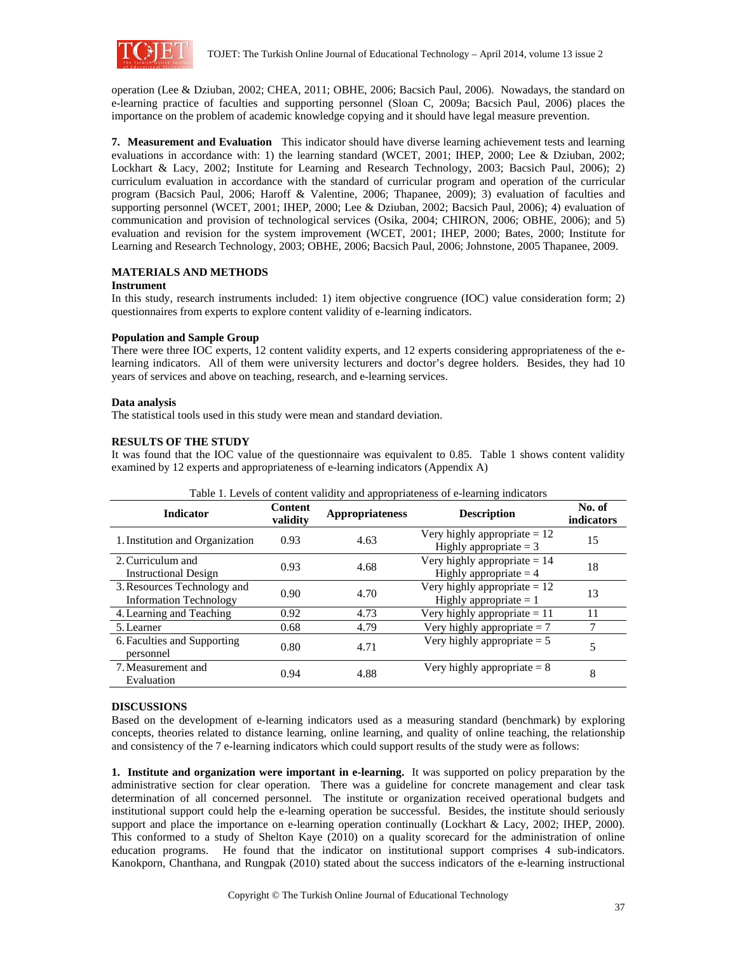

operation (Lee & Dziuban, 2002; CHEA, 2011; OBHE, 2006; Bacsich Paul, 2006). Nowadays, the standard on e-learning practice of faculties and supporting personnel (Sloan C, 2009a; Bacsich Paul, 2006) places the importance on the problem of academic knowledge copying and it should have legal measure prevention.

**7. Measurement and Evaluation** This indicator should have diverse learning achievement tests and learning evaluations in accordance with: 1) the learning standard (WCET, 2001; IHEP, 2000; Lee & Dziuban, 2002; Lockhart & Lacy, 2002; Institute for Learning and Research Technology, 2003; Bacsich Paul, 2006); 2) curriculum evaluation in accordance with the standard of curricular program and operation of the curricular program (Bacsich Paul, 2006; Haroff & Valentine, 2006; Thapanee, 2009); 3) evaluation of faculties and supporting personnel (WCET, 2001; IHEP, 2000; Lee & Dziuban, 2002; Bacsich Paul, 2006); 4) evaluation of communication and provision of technological services (Osika, 2004; CHIRON, 2006; OBHE, 2006); and 5) evaluation and revision for the system improvement (WCET, 2001; IHEP, 2000; Bates, 2000; Institute for Learning and Research Technology, 2003; OBHE, 2006; Bacsich Paul, 2006; Johnstone, 2005 Thapanee, 2009.

# **MATERIALS AND METHODS**

### **Instrument**

In this study, research instruments included: 1) item objective congruence (IOC) value consideration form; 2) questionnaires from experts to explore content validity of e-learning indicators.

# **Population and Sample Group**

There were three IOC experts, 12 content validity experts, and 12 experts considering appropriateness of the elearning indicators. All of them were university lecturers and doctor's degree holders. Besides, they had 10 years of services and above on teaching, research, and e-learning services.

#### **Data analysis**

The statistical tools used in this study were mean and standard deviation.

#### **RESULTS OF THE STUDY**

It was found that the IOC value of the questionnaire was equivalent to 0.85. Table 1 shows content validity examined by 12 experts and appropriateness of e-learning indicators (Appendix A)

| racio 1. Bevelo of content valuely and appropriateliess of c fearling matematic |                            |                        |                                                            |                      |  |  |  |  |  |
|---------------------------------------------------------------------------------|----------------------------|------------------------|------------------------------------------------------------|----------------------|--|--|--|--|--|
| <b>Indicator</b>                                                                | <b>Content</b><br>validity | <b>Appropriateness</b> | <b>Description</b>                                         | No. of<br>indicators |  |  |  |  |  |
| 1. Institution and Organization                                                 | 0.93                       | 4.63                   | Very highly appropriate $= 12$<br>Highly appropriate $= 3$ | 15                   |  |  |  |  |  |
| 2. Curriculum and<br><b>Instructional Design</b>                                | 0.93                       | 4.68                   | Very highly appropriate $= 14$<br>Highly appropriate $=$ 4 | 18                   |  |  |  |  |  |
| 3. Resources Technology and<br><b>Information Technology</b>                    | 0.90                       | 4.70                   | Very highly appropriate $= 12$<br>Highly appropriate $= 1$ | 13                   |  |  |  |  |  |
| 4. Learning and Teaching                                                        | 0.92                       | 4.73                   | Very highly appropriate $= 11$                             | 11                   |  |  |  |  |  |
| 5. Learner                                                                      | 0.68                       | 4.79                   | Very highly appropriate $= 7$                              | 7                    |  |  |  |  |  |
| 6. Faculties and Supporting<br>personnel                                        | 0.80                       | 4.71                   | Very highly appropriate $= 5$                              | 5                    |  |  |  |  |  |
| 7. Measurement and<br>Evaluation                                                | 0.94                       | 4.88                   | Very highly appropriate $= 8$                              | 8                    |  |  |  |  |  |

Table 1. Levels of content validity and appropriateness of e-learning indicators

# **DISCUSSIONS**

Based on the development of e-learning indicators used as a measuring standard (benchmark) by exploring concepts, theories related to distance learning, online learning, and quality of online teaching, the relationship and consistency of the 7 e-learning indicators which could support results of the study were as follows:

**1. Institute and organization were important in e-learning.** It was supported on policy preparation by the administrative section for clear operation. There was a guideline for concrete management and clear task determination of all concerned personnel. The institute or organization received operational budgets and institutional support could help the e-learning operation be successful. Besides, the institute should seriously support and place the importance on e-learning operation continually (Lockhart & Lacy, 2002; IHEP, 2000). This conformed to a study of Shelton Kaye (2010) on a quality scorecard for the administration of online education programs. He found that the indicator on institutional support comprises 4 sub-indicators. Kanokporn, Chanthana, and Rungpak (2010) stated about the success indicators of the e-learning instructional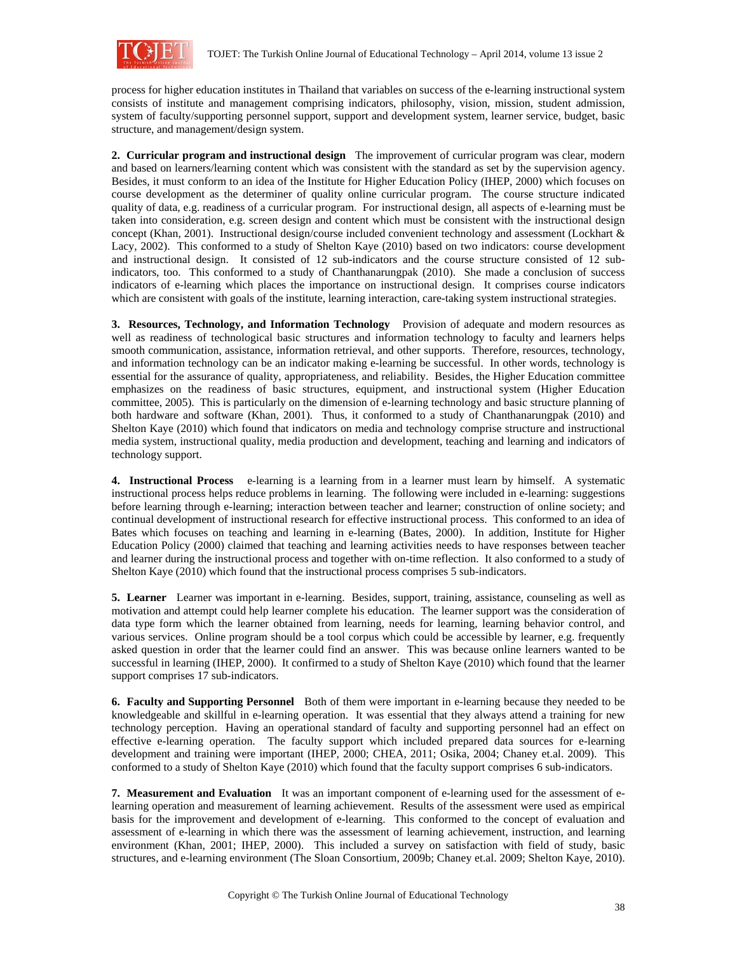

process for higher education institutes in Thailand that variables on success of the e-learning instructional system consists of institute and management comprising indicators, philosophy, vision, mission, student admission, system of faculty/supporting personnel support, support and development system, learner service, budget, basic structure, and management/design system.

**2. Curricular program and instructional design** The improvement of curricular program was clear, modern and based on learners/learning content which was consistent with the standard as set by the supervision agency. Besides, it must conform to an idea of the Institute for Higher Education Policy (IHEP, 2000) which focuses on course development as the determiner of quality online curricular program. The course structure indicated quality of data, e.g. readiness of a curricular program. For instructional design, all aspects of e-learning must be taken into consideration, e.g. screen design and content which must be consistent with the instructional design concept (Khan, 2001). Instructional design/course included convenient technology and assessment (Lockhart & Lacy, 2002). This conformed to a study of Shelton Kaye (2010) based on two indicators: course development and instructional design. It consisted of 12 sub-indicators and the course structure consisted of 12 subindicators, too. This conformed to a study of Chanthanarungpak (2010). She made a conclusion of success indicators of e-learning which places the importance on instructional design. It comprises course indicators which are consistent with goals of the institute, learning interaction, care-taking system instructional strategies.

**3. Resources, Technology, and Information Technology** Provision of adequate and modern resources as well as readiness of technological basic structures and information technology to faculty and learners helps smooth communication, assistance, information retrieval, and other supports. Therefore, resources, technology, and information technology can be an indicator making e-learning be successful. In other words, technology is essential for the assurance of quality, appropriateness, and reliability. Besides, the Higher Education committee emphasizes on the readiness of basic structures, equipment, and instructional system (Higher Education committee, 2005). This is particularly on the dimension of e-learning technology and basic structure planning of both hardware and software (Khan, 2001). Thus, it conformed to a study of Chanthanarungpak (2010) and Shelton Kaye (2010) which found that indicators on media and technology comprise structure and instructional media system, instructional quality, media production and development, teaching and learning and indicators of technology support.

**4. Instructional Process** e-learning is a learning from in a learner must learn by himself. A systematic instructional process helps reduce problems in learning. The following were included in e-learning: suggestions before learning through e-learning; interaction between teacher and learner; construction of online society; and continual development of instructional research for effective instructional process. This conformed to an idea of Bates which focuses on teaching and learning in e-learning (Bates, 2000). In addition, Institute for Higher Education Policy (2000) claimed that teaching and learning activities needs to have responses between teacher and learner during the instructional process and together with on-time reflection. It also conformed to a study of Shelton Kaye (2010) which found that the instructional process comprises 5 sub-indicators.

**5. Learner** Learner was important in e-learning. Besides, support, training, assistance, counseling as well as motivation and attempt could help learner complete his education. The learner support was the consideration of data type form which the learner obtained from learning, needs for learning, learning behavior control, and various services. Online program should be a tool corpus which could be accessible by learner, e.g. frequently asked question in order that the learner could find an answer. This was because online learners wanted to be successful in learning (IHEP, 2000). It confirmed to a study of Shelton Kaye (2010) which found that the learner support comprises 17 sub-indicators.

**6. Faculty and Supporting Personnel** Both of them were important in e-learning because they needed to be knowledgeable and skillful in e-learning operation. It was essential that they always attend a training for new technology perception. Having an operational standard of faculty and supporting personnel had an effect on effective e-learning operation. The faculty support which included prepared data sources for e-learning development and training were important (IHEP, 2000; CHEA, 2011; Osika, 2004; Chaney et.al. 2009). This conformed to a study of Shelton Kaye (2010) which found that the faculty support comprises 6 sub-indicators.

**7. Measurement and Evaluation** It was an important component of e-learning used for the assessment of elearning operation and measurement of learning achievement. Results of the assessment were used as empirical basis for the improvement and development of e-learning. This conformed to the concept of evaluation and assessment of e-learning in which there was the assessment of learning achievement, instruction, and learning environment (Khan, 2001; IHEP, 2000). This included a survey on satisfaction with field of study, basic structures, and e-learning environment (The Sloan Consortium, 2009b; Chaney et.al. 2009; Shelton Kaye, 2010).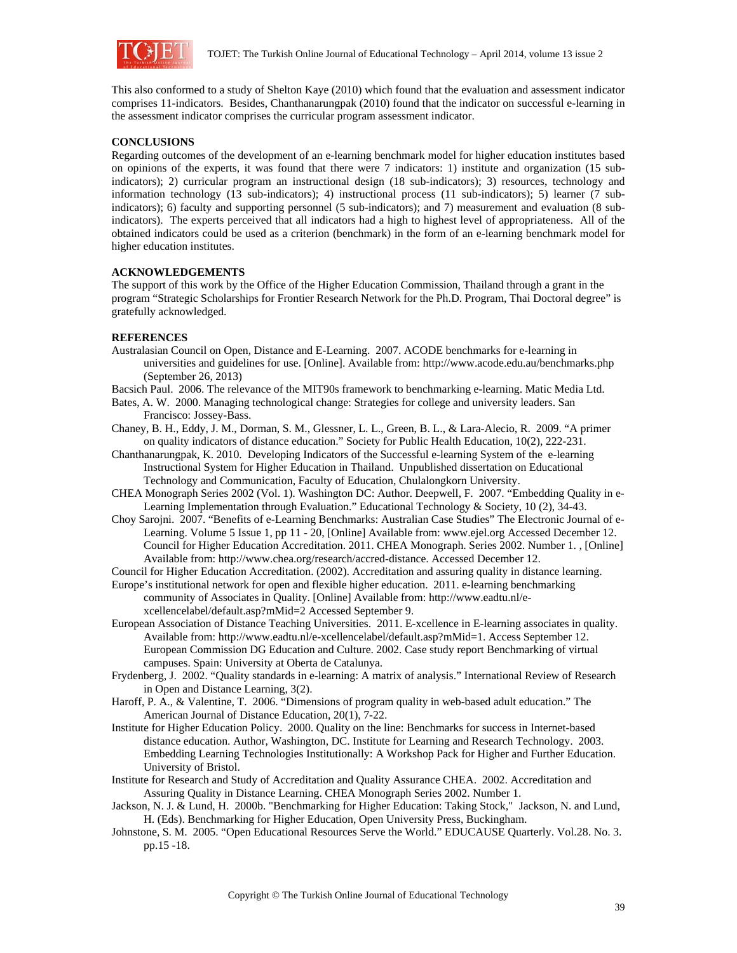

This also conformed to a study of Shelton Kaye (2010) which found that the evaluation and assessment indicator comprises 11-indicators. Besides, Chanthanarungpak (2010) found that the indicator on successful e-learning in the assessment indicator comprises the curricular program assessment indicator.

# **CONCLUSIONS**

Regarding outcomes of the development of an e-learning benchmark model for higher education institutes based on opinions of the experts, it was found that there were 7 indicators: 1) institute and organization (15 subindicators); 2) curricular program an instructional design (18 sub-indicators); 3) resources, technology and information technology (13 sub-indicators); 4) instructional process (11 sub-indicators); 5) learner (7 subindicators); 6) faculty and supporting personnel (5 sub-indicators); and 7) measurement and evaluation (8 subindicators). The experts perceived that all indicators had a high to highest level of appropriateness. All of the obtained indicators could be used as a criterion (benchmark) in the form of an e-learning benchmark model for higher education institutes.

#### **ACKNOWLEDGEMENTS**

The support of this work by the Office of the Higher Education Commission, Thailand through a grant in the program "Strategic Scholarships for Frontier Research Network for the Ph.D. Program, Thai Doctoral degree" is gratefully acknowledged.

#### **REFERENCES**

- Australasian Council on Open, Distance and E-Learning. 2007. ACODE benchmarks for e-learning in universities and guidelines for use. [Online]. Available from: http://www.acode.edu.au/benchmarks.php (September 26, 2013)
- Bacsich Paul. 2006. The relevance of the MIT90s framework to benchmarking e-learning. Matic Media Ltd.
- Bates, A. W. 2000. Managing technological change: Strategies for college and university leaders. San Francisco: Jossey-Bass.
- Chaney, B. H., Eddy, J. M., Dorman, S. M., Glessner, L. L., Green, B. L., & Lara-Alecio, R. 2009. "A primer on quality indicators of distance education." Society for Public Health Education, 10(2), 222-231.
- Chanthanarungpak, K. 2010. Developing Indicators of the Successful e-learning System of the e-learning Instructional System for Higher Education in Thailand. Unpublished dissertation on Educational Technology and Communication, Faculty of Education, Chulalongkorn University.
- CHEA Monograph Series 2002 (Vol. 1). Washington DC: Author. Deepwell, F. 2007. "Embedding Quality in e-Learning Implementation through Evaluation." Educational Technology & Society, 10 (2), 34-43.
- Choy Sarojni. 2007. "Benefits of e-Learning Benchmarks: Australian Case Studies" The Electronic Journal of e-Learning. Volume 5 Issue 1, pp 11 - 20, [Online] Available from: www.ejel.org Accessed December 12. Council for Higher Education Accreditation. 2011. CHEA Monograph. Series 2002. Number 1. , [Online] Available from: http://www.chea.org/research/accred-distance. Accessed December 12.

Council for Higher Education Accreditation. (2002). Accreditation and assuring quality in distance learning.

- Europe's institutional network for open and flexible higher education. 2011. e-learning benchmarking community of Associates in Quality. [Online] Available from: http://www.eadtu.nl/excellencelabel/default.asp?mMid=2 Accessed September 9.
- European Association of Distance Teaching Universities. 2011. E-xcellence in E-learning associates in quality. Available from: http://www.eadtu.nl/e-xcellencelabel/default.asp?mMid=1. Access September 12. European Commission DG Education and Culture. 2002. Case study report Benchmarking of virtual campuses. Spain: University at Oberta de Catalunya.
- Frydenberg, J. 2002. "Quality standards in e-learning: A matrix of analysis." International Review of Research in Open and Distance Learning, 3(2).
- Haroff, P. A., & Valentine, T. 2006. "Dimensions of program quality in web-based adult education." The American Journal of Distance Education, 20(1), 7-22.
- Institute for Higher Education Policy. 2000. Quality on the line: Benchmarks for success in Internet-based distance education. Author, Washington, DC. Institute for Learning and Research Technology. 2003. Embedding Learning Technologies Institutionally: A Workshop Pack for Higher and Further Education. University of Bristol.
- Institute for Research and Study of Accreditation and Quality Assurance CHEA. 2002. Accreditation and Assuring Quality in Distance Learning. CHEA Monograph Series 2002. Number 1.
- Jackson, N. J. & Lund, H. 2000b. "Benchmarking for Higher Education: Taking Stock," Jackson, N. and Lund, H. (Eds). Benchmarking for Higher Education, Open University Press, Buckingham.
- Johnstone, S. M. 2005. "Open Educational Resources Serve the World." EDUCAUSE Quarterly. Vol.28. No. 3. pp.15 -18.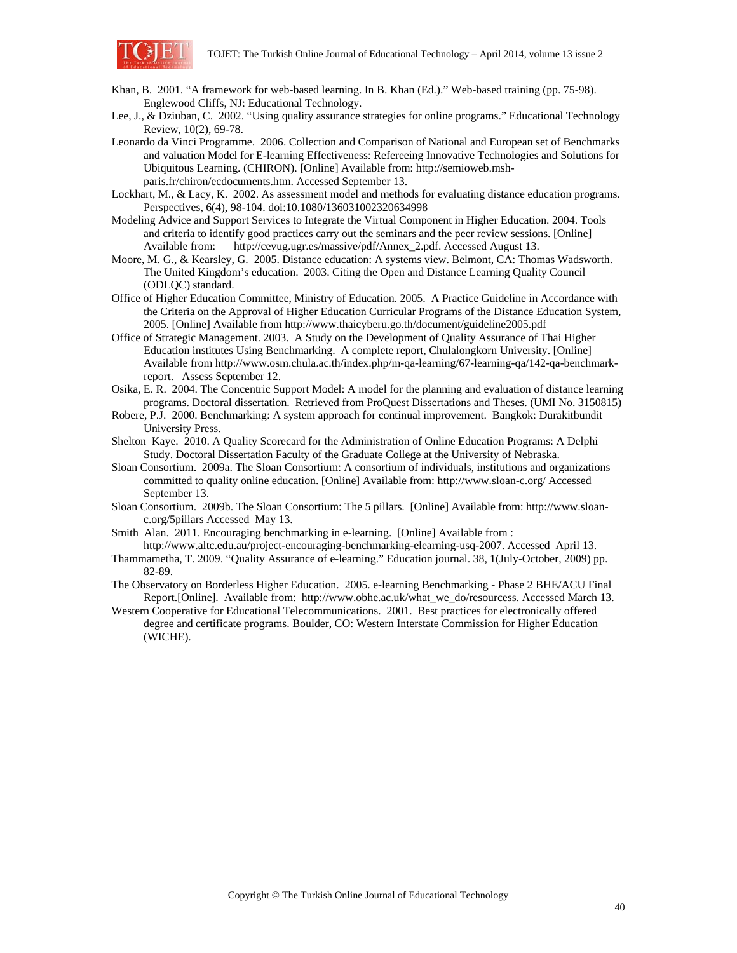

- Khan, B. 2001. "A framework for web-based learning. In B. Khan (Ed.)." Web-based training (pp. 75-98). Englewood Cliffs, NJ: Educational Technology.
- Lee, J., & Dziuban, C. 2002. "Using quality assurance strategies for online programs." Educational Technology Review, 10(2), 69-78.
- Leonardo da Vinci Programme. 2006. Collection and Comparison of National and European set of Benchmarks and valuation Model for E-learning Effectiveness: Refereeing Innovative Technologies and Solutions for Ubiquitous Learning. (CHIRON). [Online] Available from: http://semioweb.mshparis.fr/chiron/ecdocuments.htm. Accessed September 13.
- Lockhart, M., & Lacy, K. 2002. As assessment model and methods for evaluating distance education programs. Perspectives, 6(4), 98-104. doi:10.1080/136031002320634998
- Modeling Advice and Support Services to Integrate the Virtual Component in Higher Education. 2004. Tools and criteria to identify good practices carry out the seminars and the peer review sessions. [Online] Available from: http://cevug.ugr.es/massive/pdf/Annex\_2.pdf. Accessed August 13.
- Moore, M. G., & Kearsley, G. 2005. Distance education: A systems view. Belmont, CA: Thomas Wadsworth. The United Kingdom's education. 2003. Citing the Open and Distance Learning Quality Council (ODLQC) standard.
- Office of Higher Education Committee, Ministry of Education. 2005. A Practice Guideline in Accordance with the Criteria on the Approval of Higher Education Curricular Programs of the Distance Education System, 2005. [Online] Available from http://www.thaicyberu.go.th/document/guideline2005.pdf
- Office of Strategic Management. 2003. A Study on the Development of Quality Assurance of Thai Higher Education institutes Using Benchmarking. A complete report, Chulalongkorn University. [Online] Available from http://www.osm.chula.ac.th/index.php/m-qa-learning/67-learning-qa/142-qa-benchmarkreport. Assess September 12.
- Osika, E. R. 2004. The Concentric Support Model: A model for the planning and evaluation of distance learning programs. Doctoral dissertation. Retrieved from ProQuest Dissertations and Theses. (UMI No. 3150815)
- Robere, P.J. 2000. Benchmarking: A system approach for continual improvement. Bangkok: Durakitbundit University Press.
- Shelton Kaye. 2010. A Quality Scorecard for the Administration of Online Education Programs: A Delphi Study. Doctoral Dissertation Faculty of the Graduate College at the University of Nebraska.
- Sloan Consortium. 2009a. The Sloan Consortium: A consortium of individuals, institutions and organizations committed to quality online education. [Online] Available from: http://www.sloan-c.org/ Accessed September 13.
- Sloan Consortium. 2009b. The Sloan Consortium: The 5 pillars. [Online] Available from: http://www.sloanc.org/5pillars Accessed May 13.
- Smith Alan. 2011. Encouraging benchmarking in e-learning. [Online] Available from :
- http://www.altc.edu.au/project-encouraging-benchmarking-elearning-usq-2007. Accessed April 13. Thammametha, T. 2009. "Quality Assurance of e-learning." Education journal. 38, 1(July-October, 2009) pp.
- 82-89. The Observatory on Borderless Higher Education. 2005. e-learning Benchmarking - Phase 2 BHE/ACU Final Report.[Online]. Available from: http://www.obhe.ac.uk/what\_we\_do/resourcess. Accessed March 13.
- Western Cooperative for Educational Telecommunications. 2001. Best practices for electronically offered degree and certificate programs. Boulder, CO: Western Interstate Commission for Higher Education (WICHE).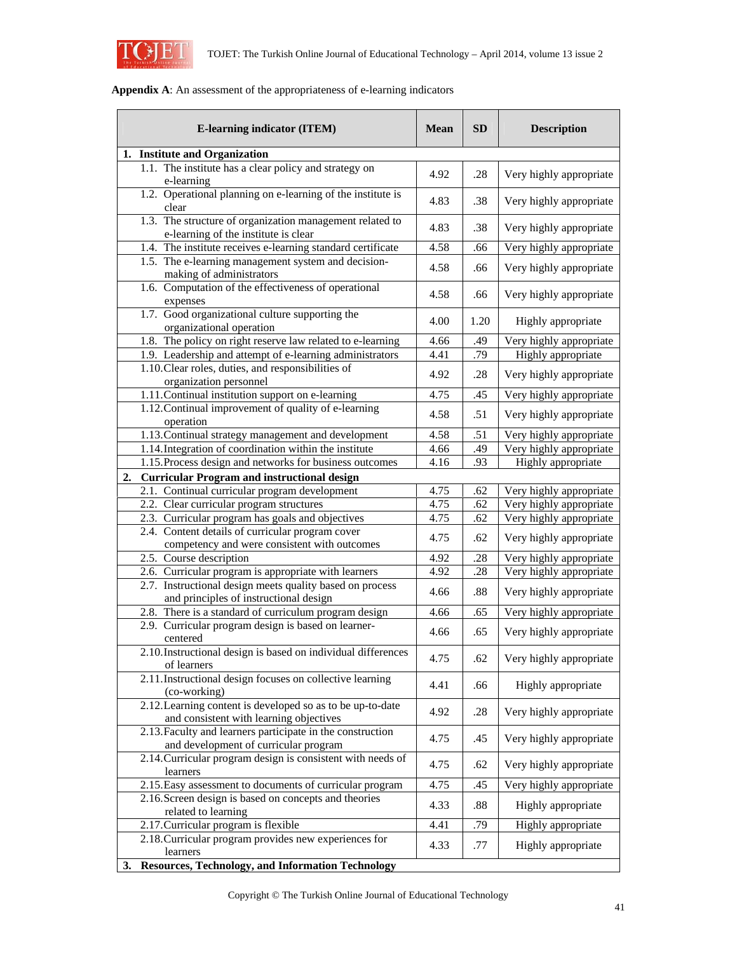

| <b>E-learning indicator (ITEM)</b>                                                                                |      | <b>SD</b> | <b>Description</b>        |  |  |
|-------------------------------------------------------------------------------------------------------------------|------|-----------|---------------------------|--|--|
| 1. Institute and Organization                                                                                     |      |           |                           |  |  |
| 1.1. The institute has a clear policy and strategy on                                                             | 4.92 | .28       | Very highly appropriate   |  |  |
| e-learning                                                                                                        |      |           |                           |  |  |
| 1.2. Operational planning on e-learning of the institute is                                                       |      | .38       | Very highly appropriate   |  |  |
| clear                                                                                                             |      |           |                           |  |  |
| 1.3. The structure of organization management related to                                                          | 4.83 | .38       | Very highly appropriate   |  |  |
| e-learning of the institute is clear<br>1.4. The institute receives e-learning standard certificate               | 4.58 | .66       | Very highly appropriate   |  |  |
| 1.5. The e-learning management system and decision-                                                               |      |           |                           |  |  |
| making of administrators                                                                                          | 4.58 | .66       | Very highly appropriate   |  |  |
| 1.6. Computation of the effectiveness of operational                                                              | 4.58 |           |                           |  |  |
| expenses                                                                                                          |      | .66       | Very highly appropriate   |  |  |
| 1.7. Good organizational culture supporting the                                                                   | 4.00 | 1.20      |                           |  |  |
| organizational operation                                                                                          |      |           | Highly appropriate        |  |  |
| 1.8. The policy on right reserve law related to e-learning                                                        | 4.66 | .49       | Very highly appropriate   |  |  |
| 1.9. Leadership and attempt of e-learning administrators                                                          | 4.41 | .79       | <b>Highly</b> appropriate |  |  |
| 1.10. Clear roles, duties, and responsibilities of                                                                | 4.92 | .28       | Very highly appropriate   |  |  |
| organization personnel                                                                                            |      |           |                           |  |  |
| 1.11. Continual institution support on e-learning                                                                 | 4.75 | .45       | Very highly appropriate   |  |  |
| 1.12. Continual improvement of quality of e-learning<br>operation                                                 | 4.58 | .51       | Very highly appropriate   |  |  |
| 1.13. Continual strategy management and development                                                               | 4.58 | .51       | Very highly appropriate   |  |  |
| 1.14. Integration of coordination within the institute                                                            | 4.66 | .49       | Very highly appropriate   |  |  |
| 1.15. Process design and networks for business outcomes                                                           | 4.16 | .93       | <b>Highly</b> appropriate |  |  |
| <b>Curricular Program and instructional design</b><br>2.                                                          |      |           |                           |  |  |
| 2.1. Continual curricular program development                                                                     | 4.75 | .62       | Very highly appropriate   |  |  |
| 2.2. Clear curricular program structures                                                                          | 4.75 | .62       | Very highly appropriate   |  |  |
| 2.3. Curricular program has goals and objectives                                                                  | 4.75 | .62       | Very highly appropriate   |  |  |
| 2.4. Content details of curricular program cover                                                                  | 4.75 | .62       | Very highly appropriate   |  |  |
| competency and were consistent with outcomes                                                                      |      |           |                           |  |  |
| 2.5. Course description                                                                                           | 4.92 | .28       | Very highly appropriate   |  |  |
| 2.6. Curricular program is appropriate with learners                                                              | 4.92 | .28       | Very highly appropriate   |  |  |
| 2.7. Instructional design meets quality based on process                                                          | 4.66 | .88       | Very highly appropriate   |  |  |
| and principles of instructional design                                                                            |      |           |                           |  |  |
| 2.8. There is a standard of curriculum program design<br>2.9. Curricular program design is based on learner-      | 4.66 | .65       | Very highly appropriate   |  |  |
| centered                                                                                                          | 4.66 | .65       | Very highly appropriate   |  |  |
| 2.10. Instructional design is based on individual differences                                                     |      |           |                           |  |  |
| of learners                                                                                                       | 4.75 | .62       | Very highly appropriate   |  |  |
| 2.11. Instructional design focuses on collective learning                                                         |      |           |                           |  |  |
| (co-working)                                                                                                      | 4.41 | .66       | Highly appropriate        |  |  |
| 2.12. Learning content is developed so as to be up-to-date                                                        | 4.92 | .28       | Very highly appropriate   |  |  |
| and consistent with learning objectives                                                                           |      |           |                           |  |  |
| 2.13. Faculty and learners participate in the construction                                                        | 4.75 | .45       | Very highly appropriate   |  |  |
| and development of curricular program                                                                             |      |           |                           |  |  |
| 2.14. Curricular program design is consistent with needs of                                                       | 4.75 | .62       | Very highly appropriate   |  |  |
| learners                                                                                                          |      | .45       | Very highly appropriate   |  |  |
| 2.15. Easy assessment to documents of curricular program<br>2.16. Screen design is based on concepts and theories |      |           |                           |  |  |
| related to learning                                                                                               |      | .88       | Highly appropriate        |  |  |
| 2.17. Curricular program is flexible                                                                              | 4.41 | .79       | Highly appropriate        |  |  |
| 2.18. Curricular program provides new experiences for                                                             | 4.33 |           |                           |  |  |
| learners                                                                                                          |      | .77       | Highly appropriate        |  |  |
| Resources, Technology, and Information Technology<br>3.                                                           |      |           |                           |  |  |

# **Appendix A**: An assessment of the appropriateness of e-learning indicators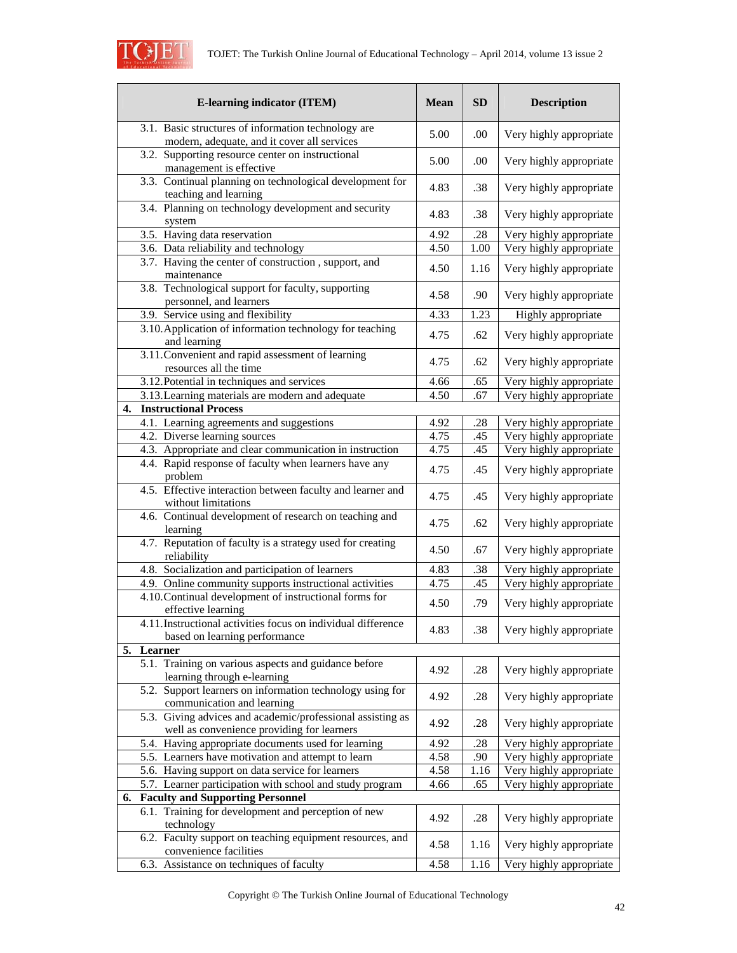

| <b>E-learning indicator (ITEM)</b>                                                                       |              | <b>SD</b> | <b>Description</b>      |  |
|----------------------------------------------------------------------------------------------------------|--------------|-----------|-------------------------|--|
| 3.1. Basic structures of information technology are                                                      |              | .00       | Very highly appropriate |  |
| modern, adequate, and it cover all services                                                              |              |           |                         |  |
| 3.2. Supporting resource center on instructional<br>management is effective                              | 5.00         | .00       | Very highly appropriate |  |
| 3.3. Continual planning on technological development for<br>teaching and learning                        | 4.83         | .38       | Very highly appropriate |  |
| 3.4. Planning on technology development and security<br>system                                           | 4.83         | .38       | Very highly appropriate |  |
| 3.5. Having data reservation                                                                             | 4.92         | .28       | Very highly appropriate |  |
| 3.6. Data reliability and technology                                                                     | 4.50         | 1.00      | Very highly appropriate |  |
| 3.7. Having the center of construction, support, and<br>maintenance                                      | 4.50         | 1.16      | Very highly appropriate |  |
| 3.8. Technological support for faculty, supporting<br>personnel, and learners                            | 4.58         | .90       | Very highly appropriate |  |
| 3.9. Service using and flexibility                                                                       | 4.33         | 1.23      | Highly appropriate      |  |
| 3.10. Application of information technology for teaching<br>and learning                                 | 4.75         | .62       | Very highly appropriate |  |
| 3.11. Convenient and rapid assessment of learning<br>resources all the time                              | 4.75         | .62       | Very highly appropriate |  |
| 3.12. Potential in techniques and services                                                               | 4.66         | .65       | Very highly appropriate |  |
| 3.13. Learning materials are modern and adequate                                                         | 4.50         | .67       | Very highly appropriate |  |
| <b>Instructional Process</b><br>4.                                                                       |              |           |                         |  |
| 4.1. Learning agreements and suggestions                                                                 | 4.92         | .28       | Very highly appropriate |  |
| 4.2. Diverse learning sources                                                                            | 4.75         | .45       | Very highly appropriate |  |
| 4.3. Appropriate and clear communication in instruction                                                  | 4.75         | .45       | Very highly appropriate |  |
| 4.4. Rapid response of faculty when learners have any<br>problem                                         | 4.75         | .45       | Very highly appropriate |  |
| 4.5. Effective interaction between faculty and learner and<br>without limitations                        | 4.75         | .45       | Very highly appropriate |  |
| 4.6. Continual development of research on teaching and<br>learning                                       | 4.75         | .62       | Very highly appropriate |  |
| 4.7. Reputation of faculty is a strategy used for creating<br>reliability                                | 4.50         | .67       | Very highly appropriate |  |
| 4.8. Socialization and participation of learners                                                         | 4.83         | .38       | Very highly appropriate |  |
| 4.9. Online community supports instructional activities                                                  | 4.75         | .45       | Very highly appropriate |  |
| 4.10. Continual development of instructional forms for<br>effective learning                             |              | .79       | Very highly appropriate |  |
| 4.11. Instructional activities focus on individual difference<br>based on learning performance           | 4.83         | .38       | Very highly appropriate |  |
| 5. Learner                                                                                               |              |           |                         |  |
| 5.1. Training on various aspects and guidance before<br>learning through e-learning                      | 4.92         | .28       | Very highly appropriate |  |
| 5.2. Support learners on information technology using for<br>communication and learning                  | 4.92         | .28       | Very highly appropriate |  |
| 5.3. Giving advices and academic/professional assisting as<br>well as convenience providing for learners | 4.92         | .28       | Very highly appropriate |  |
| 5.4. Having appropriate documents used for learning                                                      |              | .28       | Very highly appropriate |  |
| 5.5. Learners have motivation and attempt to learn                                                       | 4.92<br>4.58 | .90       | Very highly appropriate |  |
| 5.6. Having support on data service for learners                                                         |              | 1.16      | Very highly appropriate |  |
| 5.7. Learner participation with school and study program                                                 |              | .65       | Very highly appropriate |  |
| 4.66<br><b>Faculty and Supporting Personnel</b><br>6.                                                    |              |           |                         |  |
| 6.1. Training for development and perception of new<br>technology                                        | 4.92         | .28       | Very highly appropriate |  |
| 6.2. Faculty support on teaching equipment resources, and<br>convenience facilities                      | 4.58         | 1.16      | Very highly appropriate |  |
| 6.3. Assistance on techniques of faculty                                                                 | 4.58         | 1.16      | Very highly appropriate |  |